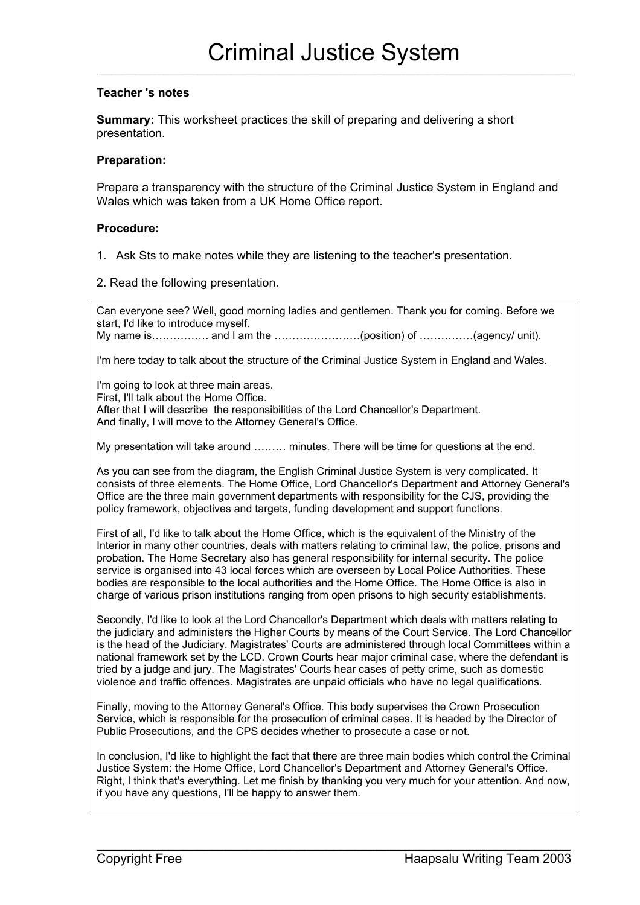## **Teacher 's notes**

**Summary:** This worksheet practices the skill of preparing and delivering a short presentation.

## **Preparation:**

Prepare a transparency with the structure of the Criminal Justice System in England and Wales which was taken from a UK Home Office report.

## **Procedure:**

- 1. Ask Sts to make notes while they are listening to the teacher's presentation.
- 2. Read the following presentation.

Can everyone see? Well, good morning ladies and gentlemen. Thank you for coming. Before we start, I'd like to introduce myself.

My name is……………. and I am the ……………………(position) of ……………(agency/ unit).

I'm here today to talk about the structure of the Criminal Justice System in England and Wales.

I'm going to look at three main areas.

First, I'll talk about the Home Office.

After that I will describe the responsibilities of the Lord Chancellor's Department. And finally, I will move to the Attorney General's Office.

My presentation will take around ……… minutes. There will be time for questions at the end.

As you can see from the diagram, the English Criminal Justice System is very complicated. It consists of three elements. The Home Office, Lord Chancellor's Department and Attorney General's Office are the three main government departments with responsibility for the CJS, providing the policy framework, objectives and targets, funding development and support functions.

First of all, I'd like to talk about the Home Office, which is the equivalent of the Ministry of the Interior in many other countries, deals with matters relating to criminal law, the police, prisons and probation. The Home Secretary also has general responsibility for internal security. The police service is organised into 43 local forces which are overseen by Local Police Authorities. These bodies are responsible to the local authorities and the Home Office. The Home Office is also in charge of various prison institutions ranging from open prisons to high security establishments.

Secondly, I'd like to look at the Lord Chancellor's Department which deals with matters relating to the judiciary and administers the Higher Courts by means of the Court Service. The Lord Chancellor is the head of the Judiciary. Magistrates' Courts are administered through local Committees within a national framework set by the LCD. Crown Courts hear major criminal case, where the defendant is tried by a judge and jury. The Magistrates' Courts hear cases of petty crime, such as domestic violence and traffic offences. Magistrates are unpaid officials who have no legal qualifications.

Finally, moving to the Attorney General's Office. This body supervises the Crown Prosecution Service, which is responsible for the prosecution of criminal cases. It is headed by the Director of Public Prosecutions, and the CPS decides whether to prosecute a case or not.

In conclusion, I'd like to highlight the fact that there are three main bodies which control the Criminal Justice System: the Home Office, Lord Chancellor's Department and Attorney General's Office. Right, I think that's everything. Let me finish by thanking you very much for your attention. And now, if you have any questions, I'll be happy to answer them.

 $\_$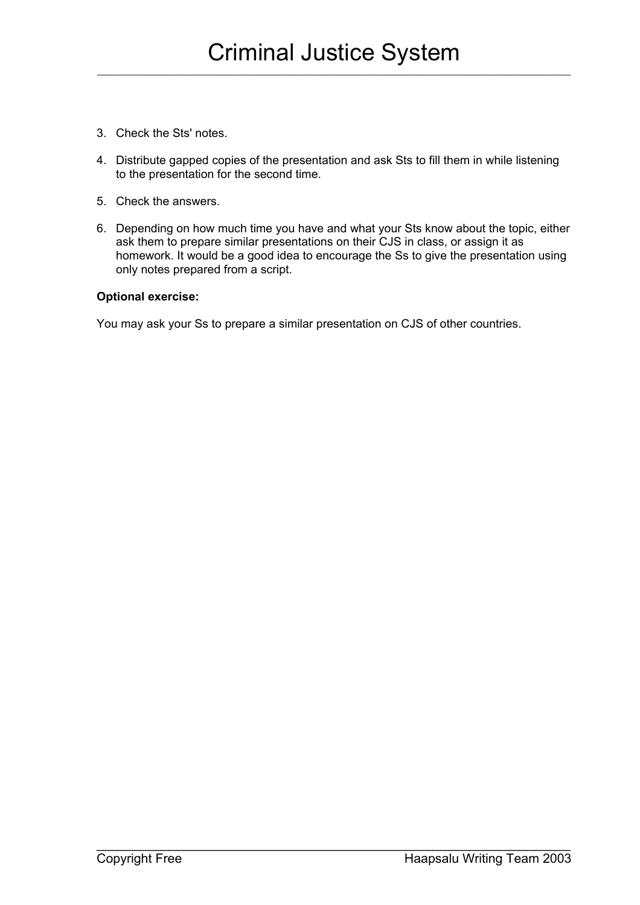- 3. Check the Sts' notes.
- 4. Distribute gapped copies of the presentation and ask Sts to fill them in while listening to the presentation for the second time.
- 5. Check the answers.
- 6. Depending on how much time you have and what your Sts know about the topic, either ask them to prepare similar presentations on their CJS in class, or assign it as homework. It would be a good idea to encourage the Ss to give the presentation using only notes prepared from a script.

 $\_$ 

## **Optional exercise:**

You may ask your Ss to prepare a similar presentation on CJS of other countries.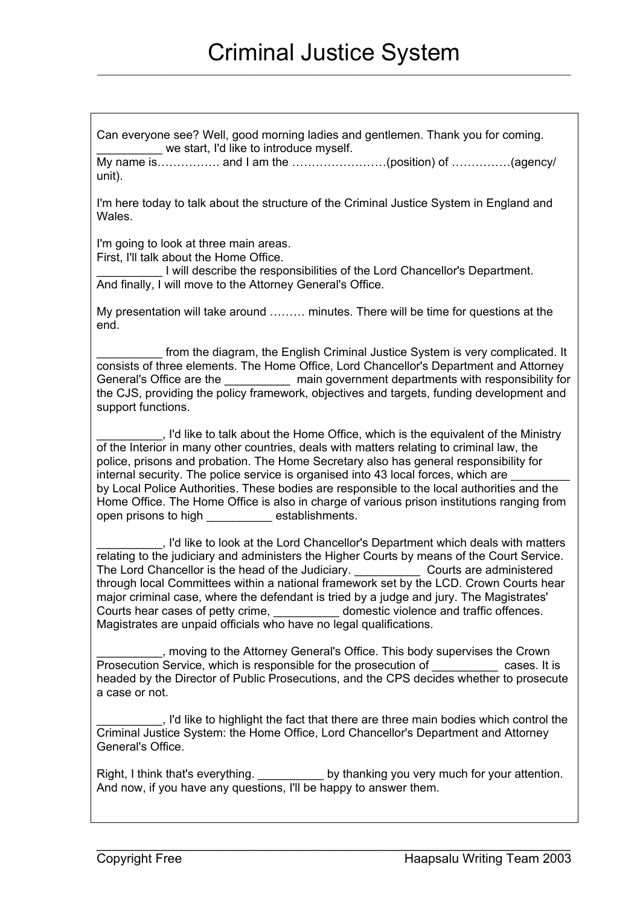Can everyone see? Well, good morning ladies and gentlemen. Thank you for coming. we start. I'd like to introduce myself.

My name is……………. and I am the ……………………(position) of ……………(agency/ unit).

I'm here today to talk about the structure of the Criminal Justice System in England and Wales.

I'm going to look at three main areas. First, I'll talk about the Home Office.

\_\_\_\_\_\_\_\_\_\_ I will describe the responsibilities of the Lord Chancellor's Department. And finally, I will move to the Attorney General's Office.

My presentation will take around ……… minutes. There will be time for questions at the end.

from the diagram, the English Criminal Justice System is very complicated. It consists of three elements. The Home Office, Lord Chancellor's Department and Attorney General's Office are the \_\_\_\_\_\_\_\_\_\_\_\_ main government departments with responsibility for the CJS, providing the policy framework, objectives and targets, funding development and support functions.

\_\_\_\_\_\_\_\_\_\_, I'd like to talk about the Home Office, which is the equivalent of the Ministry of the Interior in many other countries, deals with matters relating to criminal law, the police, prisons and probation. The Home Secretary also has general responsibility for internal security. The police service is organised into 43 local forces, which are by Local Police Authorities. These bodies are responsible to the local authorities and the Home Office. The Home Office is also in charge of various prison institutions ranging from open prisons to high establishments.

\_\_\_\_\_\_\_\_\_\_, I'd like to look at the Lord Chancellor's Department which deals with matters relating to the judiciary and administers the Higher Courts by means of the Court Service. The Lord Chancellor is the head of the Judiciary. Courts are administered through local Committees within a national framework set by the LCD. Crown Courts hear major criminal case, where the defendant is tried by a judge and jury. The Magistrates' Courts hear cases of petty crime, example of the domestic violence and traffic offences. Magistrates are unpaid officials who have no legal qualifications.

\_\_\_\_\_\_\_\_\_\_, moving to the Attorney General's Office. This body supervises the Crown Prosecution Service, which is responsible for the prosecution of The Cases. It is headed by the Director of Public Prosecutions, and the CPS decides whether to prosecute a case or not.

\_\_\_\_\_\_\_\_\_\_, I'd like to highlight the fact that there are three main bodies which control the Criminal Justice System: the Home Office, Lord Chancellor's Department and Attorney General's Office.

Right, I think that's everything. The state of thanking you very much for your attention. And now, if you have any questions, I'll be happy to answer them.

 $\_$